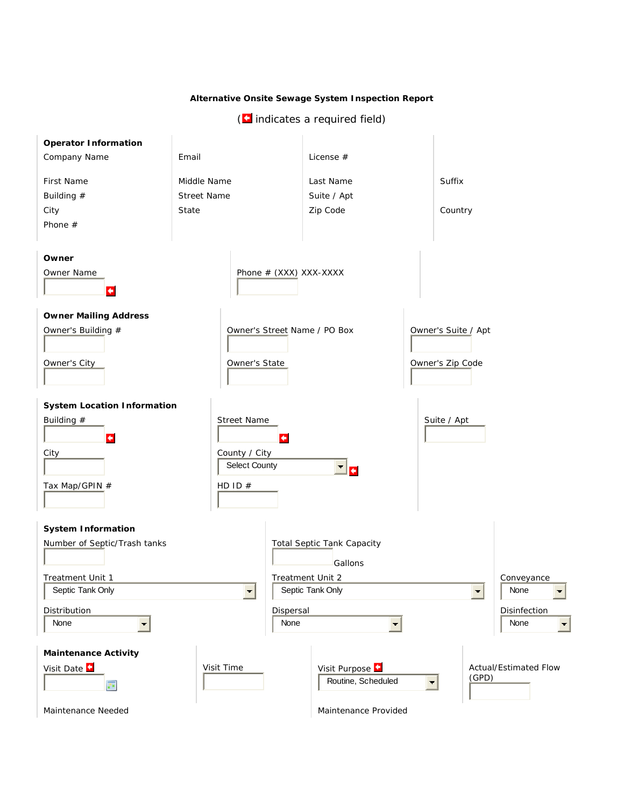## **Alternative Onsite Sewage System Inspection Report**

 $(i$  indicates a required field)

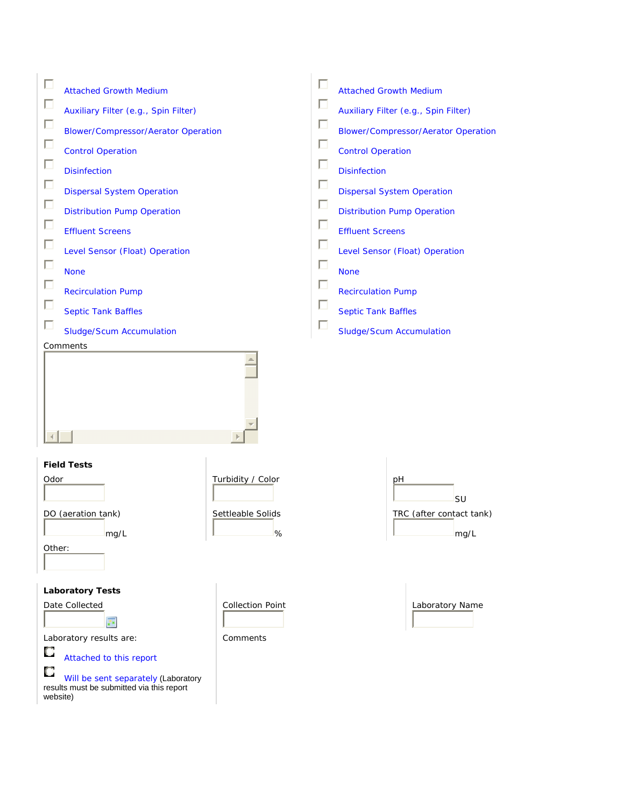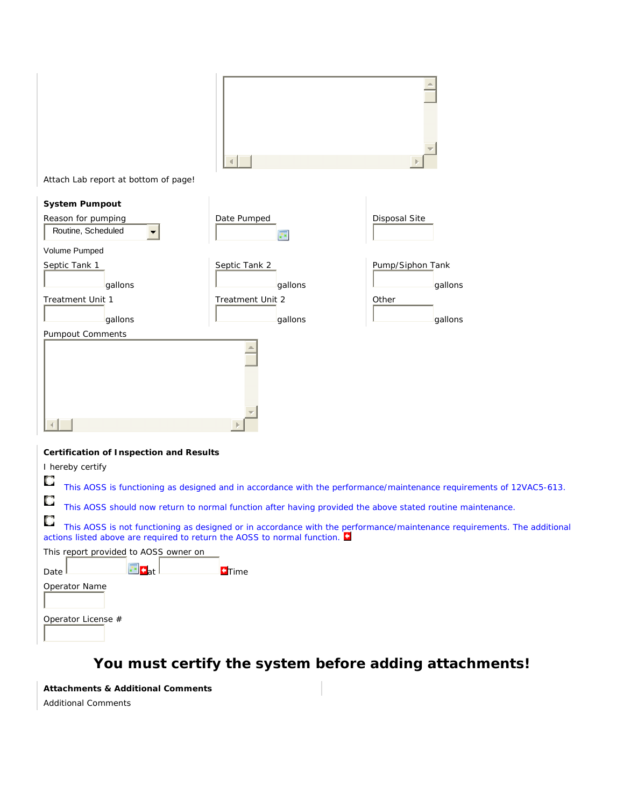

Attach Lab report at bottom of page!

| <b>System Pumpout</b>                                      |                             |                             |
|------------------------------------------------------------|-----------------------------|-----------------------------|
| Reason for pumping<br>Routine, Scheduled<br>$\blacksquare$ | Date Pumped<br>ц×.          | <b>Disposal Site</b>        |
| Volume Pumped                                              |                             |                             |
| Septic Tank 1<br>gallons                                   | Septic Tank 2<br>gallons    | Pump/Siphon Tank<br>gallons |
| Treatment Unit 1<br>gallons                                | Treatment Unit 2<br>gallons | Other<br>gallons            |
| <b>Pumpout Comments</b>                                    | $\mathbb{R}$                |                             |

## *Certification of Inspection and Results*

I hereby certify О This AOSS is functioning as designed and in accordance with the performance/maintenance requirements of 12VAC5-613.

 $\overline{\mathbb{C}}$ This AOSS should now return to normal function after having provided the above stated routine maintenance.

O This AOSS is not functioning as designed or in accordance with the performance/maintenance requirements. The additional actions listed above are required to return the AOSS to normal function.

| This report provided to AOSS owner on |                |               |
|---------------------------------------|----------------|---------------|
| Date                                  | $T_{\rm at}$ ! | <b>O</b> Time |
| Operator Name                         |                |               |
| Operator License #                    |                |               |

## **You must certify the system before adding attachments!**

*Attachments & Additional Comments* Additional Comments